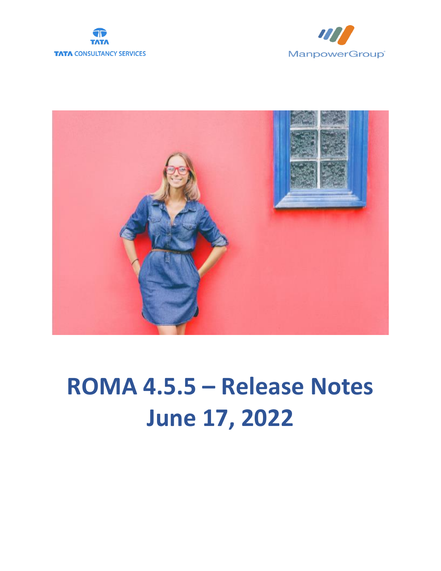





# **ROMA 4.5.5 – Release Notes June 17, 2022**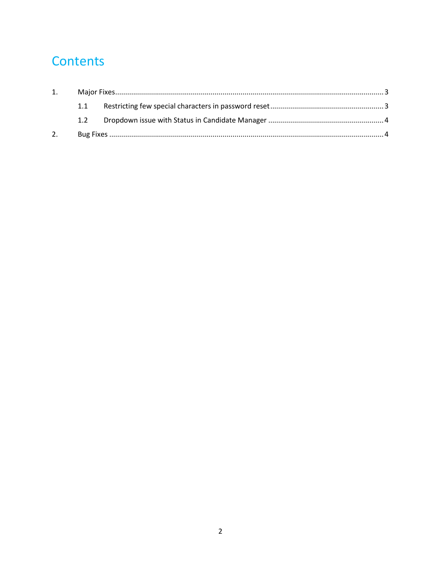### Contents

|    | 1.1 |  |  |
|----|-----|--|--|
|    | 1.2 |  |  |
| 2. |     |  |  |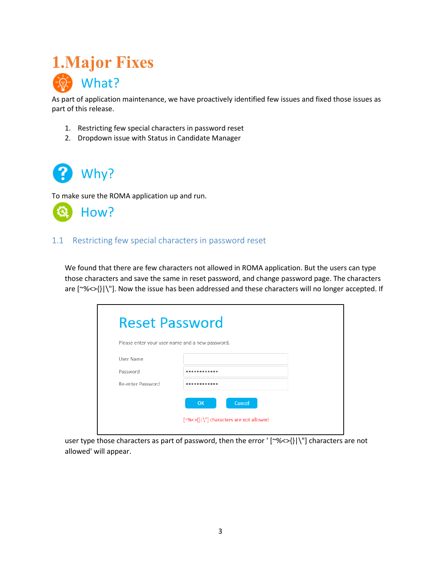### <span id="page-2-0"></span>**1.Major Fixes** What?

As part of application maintenance, we have proactively identified few issues and fixed those issues as part of this release.

- 1. Restricting few special characters in password reset
- 2. Dropdown issue with Status in Candidate Manager



To make sure the ROMA application up and run.



#### <span id="page-2-1"></span>1.1 Restricting few special characters in password reset

We found that there are few characters not allowed in ROMA application. But the users can type those characters and save the same in reset password, and change password page. The characters are [~%<>{}|\"]. Now the issue has been addressed and these characters will no longer accepted. If

|                          | <b>Reset Password</b>                                  |  |  |  |  |
|--------------------------|--------------------------------------------------------|--|--|--|--|
|                          | Please enter your user name and a new password.        |  |  |  |  |
| <b>User Name</b>         |                                                        |  |  |  |  |
| Password                 |                                                        |  |  |  |  |
| <b>Re-enter Password</b> |                                                        |  |  |  |  |
|                          | Cancel<br>OK<br>[~%<>{} \"] characters are not allowed |  |  |  |  |

user type those characters as part of password, then the error ' [~%<>{}|\"] characters are not allowed' will appear.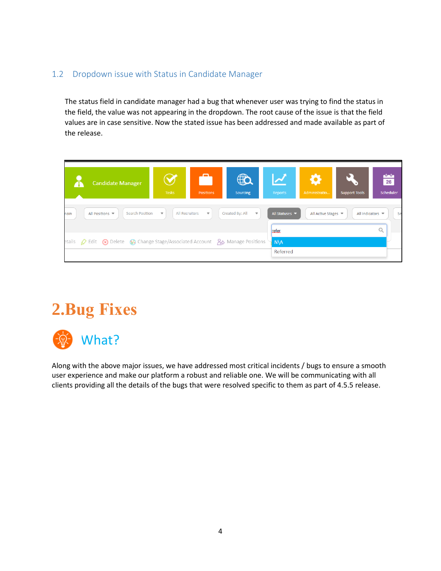#### <span id="page-3-0"></span>1.2 Dropdown issue with Status in Candidate Manager

The status field in candidate manager had a bug that whenever user was trying to find the status in the field, the value was not appearing in the dropdown. The root cause of the issue is that the field values are in case sensitive. Now the stated issue has been addressed and made available as part of the release.



### <span id="page-3-1"></span>**2.Bug Fixes**



Along with the above major issues, we have addressed most critical incidents / bugs to ensure a smooth user experience and make our platform a robust and reliable one. We will be communicating with all clients providing all the details of the bugs that were resolved specific to them as part of 4.5.5 release.